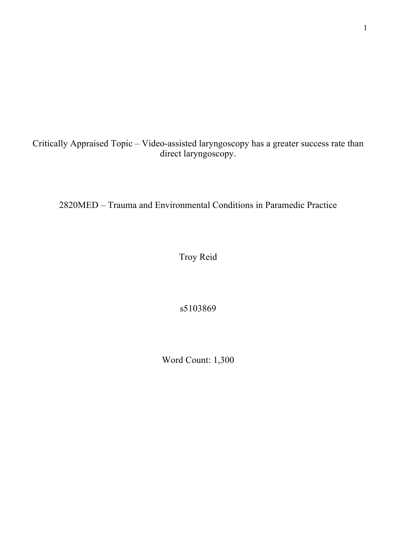Critically Appraised Topic – Video-assisted laryngoscopy has a greater success rate than direct laryngoscopy.

2820MED – Trauma and Environmental Conditions in Paramedic Practice

Troy Reid

s5103869

Word Count: 1,300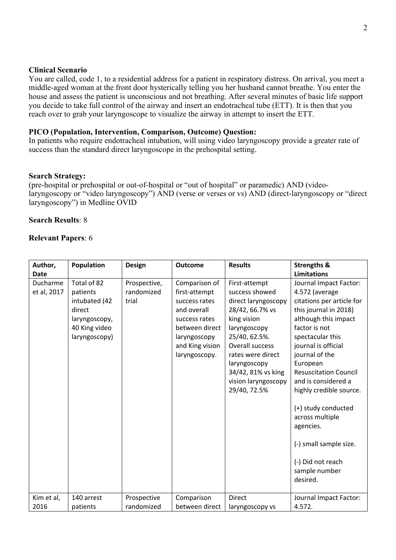#### **Clinical Scenario**

You are called, code 1, to a residential address for a patient in respiratory distress. On arrival, you meet a middle-aged woman at the front door hysterically telling you her husband cannot breathe. You enter the house and assess the patient is unconscious and not breathing. After several minutes of basic life support you decide to take full control of the airway and insert an endotracheal tube (ETT). It is then that you reach over to grab your laryngoscope to visualize the airway in attempt to insert the ETT.

## **PICO (Population, Intervention, Comparison, Outcome) Question:**

In patients who require endotracheal intubation, will using video laryngoscopy provide a greater rate of success than the standard direct laryngoscope in the prehospital setting.

#### **Search Strategy:**

(pre-hospital or prehospital or out-of-hospital or "out of hospital" or paramedic) AND (videolaryngoscopy or "video laryngoscopy") AND (verse or verses or vs) AND (direct-laryngoscopy or "direct laryngoscopy") in Medline OVID

#### **Search Results**: 8

# **Relevant Papers**: 6

| Author,                               | <b>Population</b>                                                                                                   | <b>Design</b>                                      | <b>Outcome</b>                                                                                                                                                      | <b>Results</b>                                                                                                                                                                                                                                                  | <b>Strengths &amp;</b>                                                                                                                                                                                                                                                                                                                                                                                                                                          |
|---------------------------------------|---------------------------------------------------------------------------------------------------------------------|----------------------------------------------------|---------------------------------------------------------------------------------------------------------------------------------------------------------------------|-----------------------------------------------------------------------------------------------------------------------------------------------------------------------------------------------------------------------------------------------------------------|-----------------------------------------------------------------------------------------------------------------------------------------------------------------------------------------------------------------------------------------------------------------------------------------------------------------------------------------------------------------------------------------------------------------------------------------------------------------|
| <b>Date</b>                           |                                                                                                                     |                                                    |                                                                                                                                                                     |                                                                                                                                                                                                                                                                 | <b>Limitations</b>                                                                                                                                                                                                                                                                                                                                                                                                                                              |
| Ducharme<br>et al, 2017<br>Kim et al, | Total of 82<br>patients<br>intubated (42<br>direct<br>laryngoscopy,<br>40 King video<br>laryngoscopy)<br>140 arrest | Prospective,<br>randomized<br>trial<br>Prospective | Comparison of<br>first-attempt<br>success rates<br>and overall<br>success rates<br>between direct<br>laryngoscopy<br>and King vision<br>laryngoscopy.<br>Comparison | First-attempt<br>success showed<br>direct laryngoscopy<br>28/42, 66.7% vs<br>king vision<br>laryngoscopy<br>25/40, 62.5%.<br>Overall success<br>rates were direct<br>laryngoscopy<br>34/42, 81% vs king<br>vision laryngoscopy<br>29/40, 72.5%<br><b>Direct</b> | Journal Impact Factor:<br>4.572 (average<br>citations per article for<br>this journal in 2018)<br>although this impact<br>factor is not<br>spectacular this<br>journal is official<br>journal of the<br>European<br><b>Resuscitation Council</b><br>and is considered a<br>highly credible source.<br>(+) study conducted<br>across multiple<br>agencies.<br>(-) small sample size.<br>(-) Did not reach<br>sample number<br>desired.<br>Journal Impact Factor: |
| 2016                                  | patients                                                                                                            | randomized                                         | between direct                                                                                                                                                      | laryngoscopy vs                                                                                                                                                                                                                                                 | 4.572.                                                                                                                                                                                                                                                                                                                                                                                                                                                          |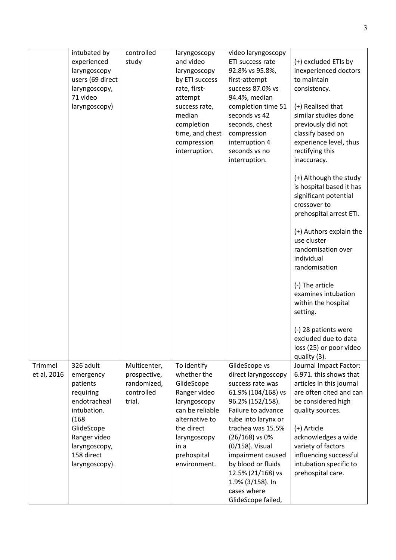|                        | intubated by<br>experienced<br>laryngoscopy<br>users (69 direct<br>laryngoscopy,<br>71 video<br>laryngoscopy)                                                          | controlled<br>study                                                 | laryngoscopy<br>and video<br>laryngoscopy<br>by ETI success<br>rate, first-<br>attempt<br>success rate,<br>median<br>completion<br>time, and chest<br>compression<br>interruption. | video laryngoscopy<br>ETI success rate<br>92.8% vs 95.8%,<br>first-attempt<br>success 87.0% vs<br>94.4%, median<br>completion time 51<br>seconds vs 42<br>seconds, chest<br>compression<br>interruption 4<br>seconds vs no<br>interruption.                                                                                          | (+) excluded ETIs by<br>inexperienced doctors<br>to maintain<br>consistency.<br>(+) Realised that<br>similar studies done<br>previously did not<br>classify based on<br>experience level, thus<br>rectifying this<br>inaccuracy.                                                       |
|------------------------|------------------------------------------------------------------------------------------------------------------------------------------------------------------------|---------------------------------------------------------------------|------------------------------------------------------------------------------------------------------------------------------------------------------------------------------------|--------------------------------------------------------------------------------------------------------------------------------------------------------------------------------------------------------------------------------------------------------------------------------------------------------------------------------------|----------------------------------------------------------------------------------------------------------------------------------------------------------------------------------------------------------------------------------------------------------------------------------------|
|                        |                                                                                                                                                                        |                                                                     |                                                                                                                                                                                    |                                                                                                                                                                                                                                                                                                                                      | (+) Although the study<br>is hospital based it has<br>significant potential<br>crossover to<br>prehospital arrest ETI.<br>(+) Authors explain the<br>use cluster<br>randomisation over<br>individual<br>randomisation<br>(-) The article<br>examines intubation                        |
|                        |                                                                                                                                                                        |                                                                     |                                                                                                                                                                                    |                                                                                                                                                                                                                                                                                                                                      | within the hospital<br>setting.<br>(-) 28 patients were<br>excluded due to data<br>loss (25) or poor video<br>quality (3).                                                                                                                                                             |
| Trimmel<br>et al, 2016 | 326 adult<br>emergency<br>patients<br>requiring<br>endotracheal<br>intubation.<br>(168)<br>GlideScope<br>Ranger video<br>laryngoscopy,<br>158 direct<br>laryngoscopy). | Multicenter,<br>prospective,<br>randomized,<br>controlled<br>trial. | To identify<br>whether the<br>GlideScope<br>Ranger video<br>laryngoscopy<br>can be reliable<br>alternative to<br>the direct<br>laryngoscopy<br>in a<br>prehospital<br>environment. | GlideScope vs<br>direct laryngoscopy<br>success rate was<br>61.9% (104/168) vs<br>96.2% (152/158).<br>Failure to advance<br>tube into larynx or<br>trachea was 15.5%<br>$(26/168)$ vs 0%<br>(0/158). Visual<br>impairment caused<br>by blood or fluids<br>12.5% (21/168) vs<br>1.9% (3/158). In<br>cases where<br>GlideScope failed, | Journal Impact Factor:<br>6.971. this shows that<br>articles in this journal<br>are often cited and can<br>be considered high<br>quality sources.<br>(+) Article<br>acknowledges a wide<br>variety of factors<br>influencing successful<br>intubation specific to<br>prehospital care. |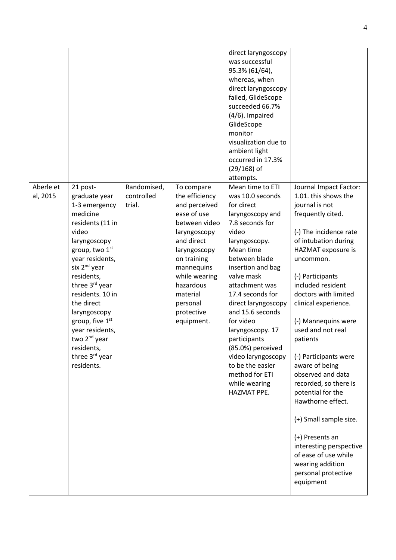|                       |                                                                                                                                                                                                                                                                                                                                                                                    |                                     |                                                                                                                                                                                                                                            | direct laryngoscopy<br>was successful<br>95.3% (61/64),<br>whereas, when<br>direct laryngoscopy<br>failed, GlideScope<br>succeeded 66.7%<br>(4/6). Impaired<br>GlideScope<br>monitor<br>visualization due to<br>ambient light<br>occurred in 17.3%<br>$(29/168)$ of<br>attempts.                                                                                                                                                        |                                                                                                                                                                                                                                                                                                                                                                                                                                                                                                                                                                                                                        |
|-----------------------|------------------------------------------------------------------------------------------------------------------------------------------------------------------------------------------------------------------------------------------------------------------------------------------------------------------------------------------------------------------------------------|-------------------------------------|--------------------------------------------------------------------------------------------------------------------------------------------------------------------------------------------------------------------------------------------|-----------------------------------------------------------------------------------------------------------------------------------------------------------------------------------------------------------------------------------------------------------------------------------------------------------------------------------------------------------------------------------------------------------------------------------------|------------------------------------------------------------------------------------------------------------------------------------------------------------------------------------------------------------------------------------------------------------------------------------------------------------------------------------------------------------------------------------------------------------------------------------------------------------------------------------------------------------------------------------------------------------------------------------------------------------------------|
| Aberle et<br>al, 2015 | 21 post-<br>graduate year<br>1-3 emergency<br>medicine<br>residents (11 in<br>video<br>laryngoscopy<br>group, two 1st<br>year residents,<br>six 2 <sup>nd</sup> year<br>residents,<br>three 3rd year<br>residents. 10 in<br>the direct<br>laryngoscopy<br>group, five 1 <sup>st</sup><br>year residents,<br>two 2 <sup>nd</sup> year<br>residents,<br>three 3rd year<br>residents. | Randomised,<br>controlled<br>trial. | To compare<br>the efficiency<br>and perceived<br>ease of use<br>between video<br>laryngoscopy<br>and direct<br>laryngoscopy<br>on training<br>mannequins<br>while wearing<br>hazardous<br>material<br>personal<br>protective<br>equipment. | Mean time to ETI<br>was 10.0 seconds<br>for direct<br>laryngoscopy and<br>7.8 seconds for<br>video<br>laryngoscopy.<br>Mean time<br>between blade<br>insertion and bag<br>valve mask<br>attachment was<br>17.4 seconds for<br>direct laryngoscopy<br>and 15.6 seconds<br>for video<br>laryngoscopy. 17<br>participants<br>(85.0%) perceived<br>video laryngoscopy<br>to be the easier<br>method for ETI<br>while wearing<br>HAZMAT PPE. | Journal Impact Factor:<br>1.01. this shows the<br>journal is not<br>frequently cited.<br>(-) The incidence rate<br>of intubation during<br>HAZMAT exposure is<br>uncommon.<br>(-) Participants<br>included resident<br>doctors with limited<br>clinical experience.<br>(-) Mannequins were<br>used and not real<br>patients<br>(-) Participants were<br>aware of being<br>observed and data<br>recorded, so there is<br>potential for the<br>Hawthorne effect.<br>(+) Small sample size.<br>(+) Presents an<br>interesting perspective<br>of ease of use while<br>wearing addition<br>personal protective<br>equipment |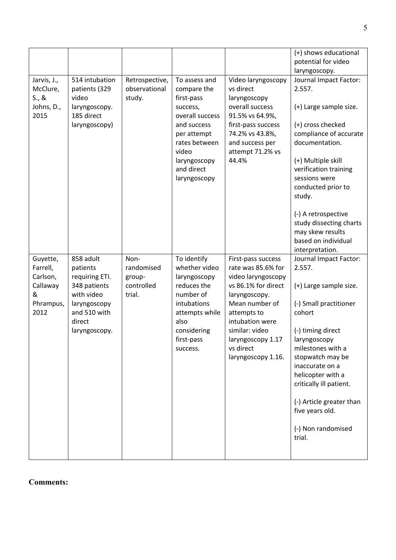|             |                |                |                        |                                     | (+) shows educational    |
|-------------|----------------|----------------|------------------------|-------------------------------------|--------------------------|
|             |                |                |                        |                                     | potential for video      |
|             |                |                |                        |                                     | laryngoscopy.            |
| Jarvis, J., | 514 intubation | Retrospective, | To assess and          | Video laryngoscopy                  | Journal Impact Factor:   |
| McClure,    | patients (329  | observational  | compare the            | vs direct                           | 2.557.                   |
| S., &       | video          | study.         | first-pass             | laryngoscopy                        |                          |
| Johns, D.,  | laryngoscopy.  |                | success,               | overall success                     | (+) Large sample size.   |
| 2015        | 185 direct     |                | overall success        | 91.5% vs 64.9%,                     |                          |
|             | laryngoscopy)  |                | and success            | first-pass success                  | (+) cross checked        |
|             |                |                | per attempt            | 74.2% vs 43.8%,                     | compliance of accurate   |
|             |                |                | rates between<br>video | and success per<br>attempt 71.2% vs | documentation.           |
|             |                |                | laryngoscopy           | 44.4%                               | (+) Multiple skill       |
|             |                |                | and direct             |                                     | verification training    |
|             |                |                | laryngoscopy           |                                     | sessions were            |
|             |                |                |                        |                                     | conducted prior to       |
|             |                |                |                        |                                     | study.                   |
|             |                |                |                        |                                     |                          |
|             |                |                |                        |                                     | (-) A retrospective      |
|             |                |                |                        |                                     | study dissecting charts  |
|             |                |                |                        |                                     | may skew results         |
|             |                |                |                        |                                     | based on individual      |
|             |                |                |                        |                                     | interpretation.          |
|             |                |                |                        |                                     |                          |
| Guyette,    | 858 adult      | Non-           | To identify            | First-pass success                  | Journal Impact Factor:   |
| Farrell,    | patients       | randomised     | whether video          | rate was 85.6% for                  | 2.557.                   |
| Carlson,    | requiring ETI. | group-         | laryngoscopy           | video laryngoscopy                  |                          |
| Callaway    | 348 patients   | controlled     | reduces the            | vs 86.1% for direct                 | (+) Large sample size.   |
| &           | with video     | trial.         | number of              | laryngoscopy.                       |                          |
| Phrampus,   | laryngoscopy   |                | intubations            | Mean number of                      | (-) Small practitioner   |
| 2012        | and 510 with   |                | attempts while         | attempts to                         | cohort                   |
|             | direct         |                | also                   | intubation were                     |                          |
|             | laryngoscopy.  |                | considering            | similar: video                      | (-) timing direct        |
|             |                |                | first-pass             | laryngoscopy 1.17                   | laryngoscopy             |
|             |                |                | success.               | vs direct                           | milestones with a        |
|             |                |                |                        | laryngoscopy 1.16.                  | stopwatch may be         |
|             |                |                |                        |                                     | inaccurate on a          |
|             |                |                |                        |                                     | helicopter with a        |
|             |                |                |                        |                                     | critically ill patient.  |
|             |                |                |                        |                                     |                          |
|             |                |                |                        |                                     | (-) Article greater than |
|             |                |                |                        |                                     | five years old.          |
|             |                |                |                        |                                     | (-) Non randomised       |
|             |                |                |                        |                                     | trial.                   |
|             |                |                |                        |                                     |                          |

# **Comments:**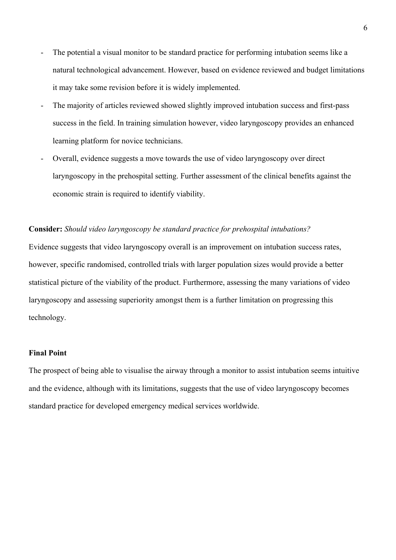- The potential a visual monitor to be standard practice for performing intubation seems like a natural technological advancement. However, based on evidence reviewed and budget limitations it may take some revision before it is widely implemented.
- The majority of articles reviewed showed slightly improved intubation success and first-pass success in the field. In training simulation however, video laryngoscopy provides an enhanced learning platform for novice technicians.
- Overall, evidence suggests a move towards the use of video laryngoscopy over direct laryngoscopy in the prehospital setting. Further assessment of the clinical benefits against the economic strain is required to identify viability.

# **Consider:** *Should video laryngoscopy be standard practice for prehospital intubations?*

Evidence suggests that video laryngoscopy overall is an improvement on intubation success rates, however, specific randomised, controlled trials with larger population sizes would provide a better statistical picture of the viability of the product. Furthermore, assessing the many variations of video laryngoscopy and assessing superiority amongst them is a further limitation on progressing this technology.

# **Final Point**

The prospect of being able to visualise the airway through a monitor to assist intubation seems intuitive and the evidence, although with its limitations, suggests that the use of video laryngoscopy becomes standard practice for developed emergency medical services worldwide.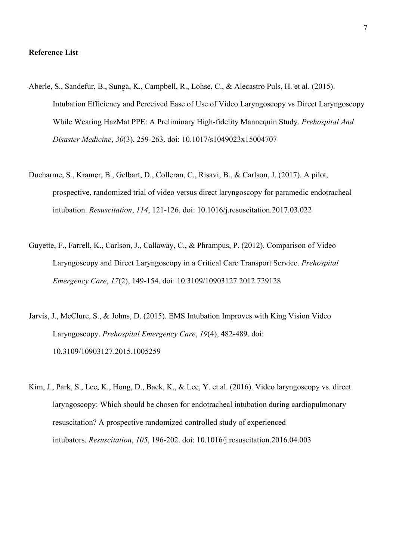#### **Reference List**

- Aberle, S., Sandefur, B., Sunga, K., Campbell, R., Lohse, C., & Alecastro Puls, H. et al. (2015). Intubation Efficiency and Perceived Ease of Use of Video Laryngoscopy vs Direct Laryngoscopy While Wearing HazMat PPE: A Preliminary High-fidelity Mannequin Study. *Prehospital And Disaster Medicine*, *30*(3), 259-263. doi: 10.1017/s1049023x15004707
- Ducharme, S., Kramer, B., Gelbart, D., Colleran, C., Risavi, B., & Carlson, J. (2017). A pilot, prospective, randomized trial of video versus direct laryngoscopy for paramedic endotracheal intubation. *Resuscitation*, *114*, 121-126. doi: 10.1016/j.resuscitation.2017.03.022
- Guyette, F., Farrell, K., Carlson, J., Callaway, C., & Phrampus, P. (2012). Comparison of Video Laryngoscopy and Direct Laryngoscopy in a Critical Care Transport Service. *Prehospital Emergency Care*, *17*(2), 149-154. doi: 10.3109/10903127.2012.729128
- Jarvis, J., McClure, S., & Johns, D. (2015). EMS Intubation Improves with King Vision Video Laryngoscopy. *Prehospital Emergency Care*, *19*(4), 482-489. doi: 10.3109/10903127.2015.1005259
- Kim, J., Park, S., Lee, K., Hong, D., Baek, K., & Lee, Y. et al. (2016). Video laryngoscopy vs. direct laryngoscopy: Which should be chosen for endotracheal intubation during cardiopulmonary resuscitation? A prospective randomized controlled study of experienced intubators. *Resuscitation*, *105*, 196-202. doi: 10.1016/j.resuscitation.2016.04.003